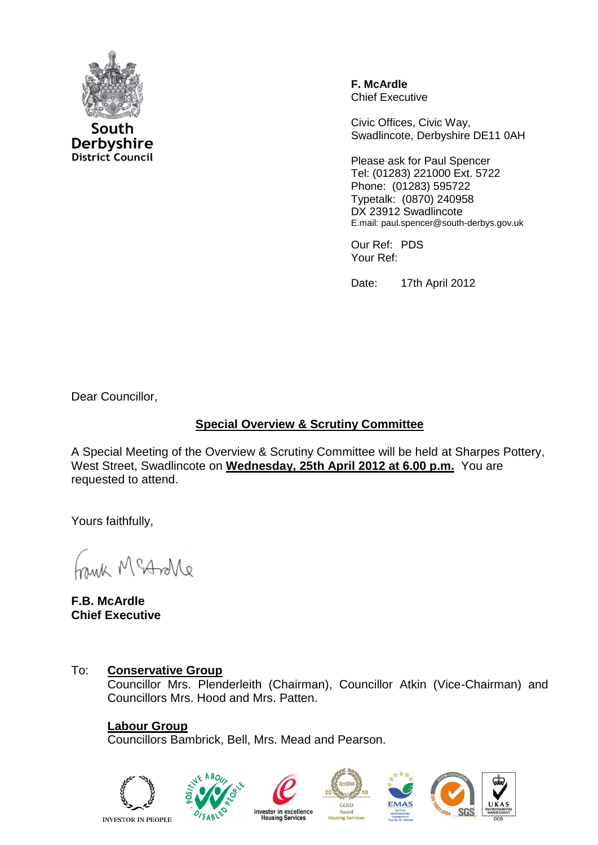

South Derbyshire **District Council**  **F. McArdle** Chief Executive

Civic Offices, Civic Way, Swadlincote, Derbyshire DE11 0AH

Please ask for Paul Spencer Tel: (01283) 221000 Ext. 5722 Phone: (01283) 595722 Typetalk: (0870) 240958 DX 23912 Swadlincote E.mail: paul.spencer@south-derbys.gov.uk

Our Ref: PDS Your Ref:

Date: 17th April 2012

Dear Councillor,

### **Special Overview & Scrutiny Committee**

A Special Meeting of the Overview & Scrutiny Committee will be held at Sharpes Pottery, West Street, Swadlincote on **Wednesday, 25th April 2012 at 6.00 p.m.** You are requested to attend.

Yours faithfully,

Morton Min

**F.B. McArdle Chief Executive**

### To: **Conservative Group**

Councillor Mrs. Plenderleith (Chairman), Councillor Atkin (Vice-Chairman) and Councillors Mrs. Hood and Mrs. Patten.

## **Labour Group**

Councillors Bambrick, Bell, Mrs. Mead and Pearson.

**INVESTOR IN PEOPLE**